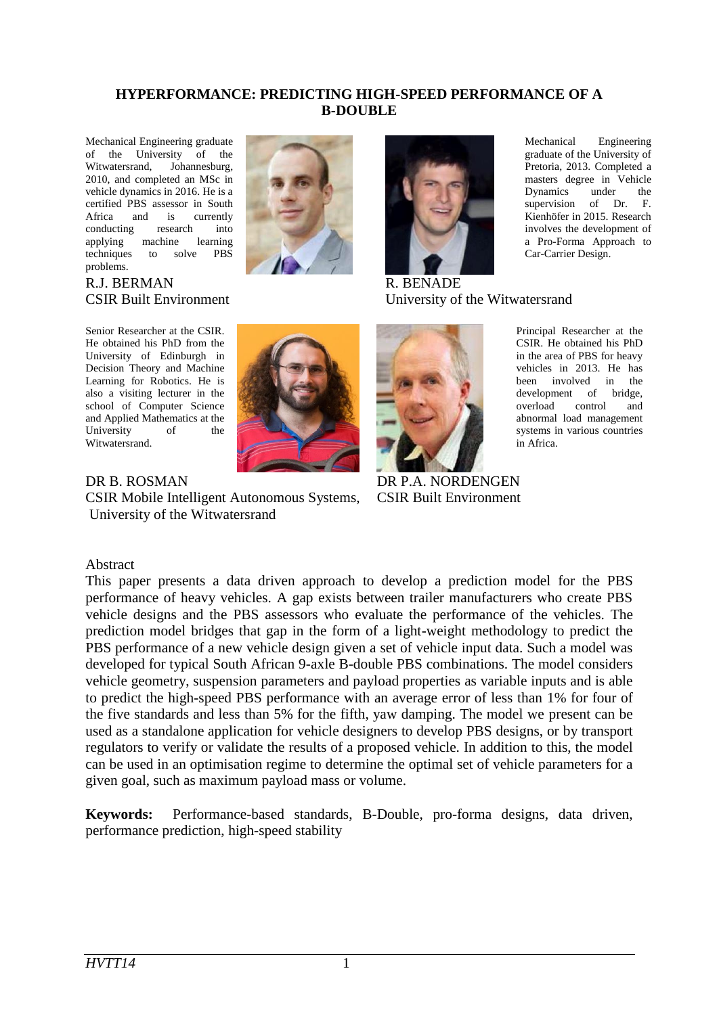#### **HYPERFORMANCE: PREDICTING HIGH-SPEED PERFORMANCE OF A B-DOUBLE**

Mechanical Engineering graduate of the University of the Witwatersrand, Johannesburg, Johannesburg, 2010, and completed an MSc in vehicle dynamics in 2016. He is a certified PBS assessor in South Africa and is currently<br>conducting research into conducting research into applying machine learning techniques to solve PBS problems.



Senior Researcher at the CSIR. He obtained his PhD from the University of Edinburgh in Decision Theory and Machine Learning for Robotics. He is also a visiting lecturer in the school of Computer Science and Applied Mathematics at the University of the Witwatersrand.



CSIR Mobile Intelligent Autonomous Systems, University of the Witwatersrand



Mechanical Engineering graduate of the University of Pretoria, 2013. Completed a masters degree in Vehicle Dynamics under the supervision of Dr. F. Kienhöfer in 2015. Research involves the development of a Pro-Forma Approach to Car-Carrier Design.

R. BENADE University of the Witwatersrand



CSIR Built Environment

vehicles in 2013. He has been involved in the development of bridge, overload control and abnormal load management systems in various countries in Africa.

Principal Researcher at the CSIR. He obtained his PhD in the area of PBS for heavy

#### Abstract

This paper presents a data driven approach to develop a prediction model for the PBS performance of heavy vehicles. A gap exists between trailer manufacturers who create PBS vehicle designs and the PBS assessors who evaluate the performance of the vehicles. The prediction model bridges that gap in the form of a light-weight methodology to predict the PBS performance of a new vehicle design given a set of vehicle input data. Such a model was developed for typical South African 9-axle B-double PBS combinations. The model considers vehicle geometry, suspension parameters and payload properties as variable inputs and is able to predict the high-speed PBS performance with an average error of less than 1% for four of the five standards and less than 5% for the fifth, yaw damping. The model we present can be used as a standalone application for vehicle designers to develop PBS designs, or by transport regulators to verify or validate the results of a proposed vehicle. In addition to this, the model can be used in an optimisation regime to determine the optimal set of vehicle parameters for a given goal, such as maximum payload mass or volume.

**Keywords:** Performance-based standards, B-Double, pro-forma designs, data driven, performance prediction, high-speed stability

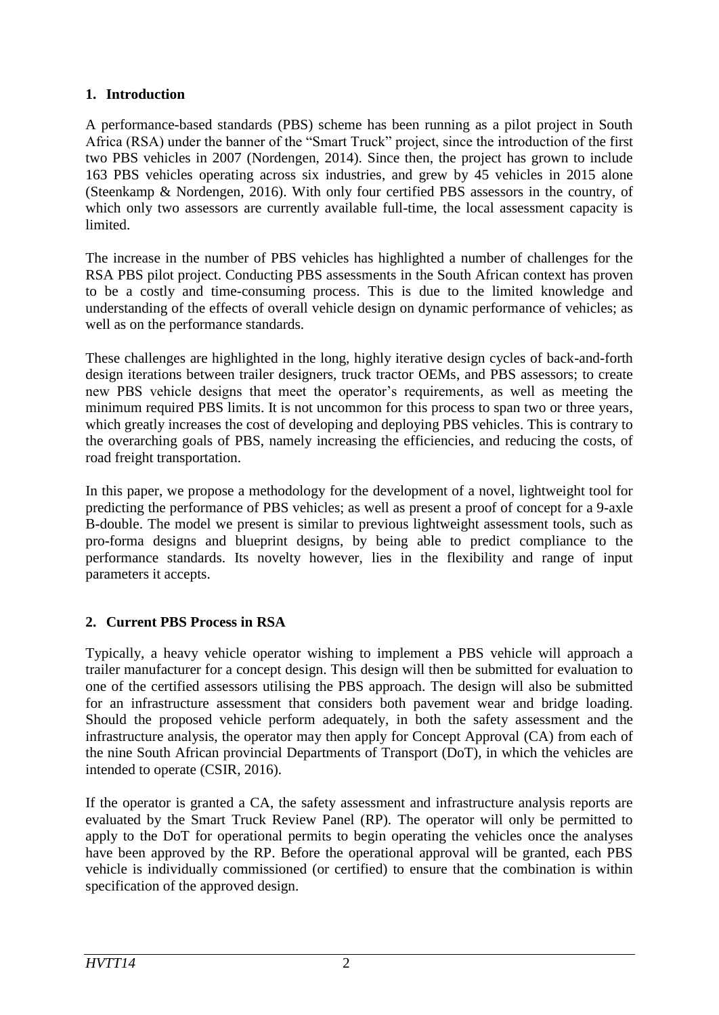# **1. Introduction**

A performance-based standards (PBS) scheme has been running as a pilot project in South Africa (RSA) under the banner of the "Smart Truck" project, since the introduction of the first two PBS vehicles in 2007 (Nordengen, 2014). Since then, the project has grown to include 163 PBS vehicles operating across six industries, and grew by 45 vehicles in 2015 alone (Steenkamp & Nordengen, 2016). With only four certified PBS assessors in the country, of which only two assessors are currently available full-time, the local assessment capacity is limited.

The increase in the number of PBS vehicles has highlighted a number of challenges for the RSA PBS pilot project. Conducting PBS assessments in the South African context has proven to be a costly and time-consuming process. This is due to the limited knowledge and understanding of the effects of overall vehicle design on dynamic performance of vehicles; as well as on the performance standards.

These challenges are highlighted in the long, highly iterative design cycles of back-and-forth design iterations between trailer designers, truck tractor OEMs, and PBS assessors; to create new PBS vehicle designs that meet the operator's requirements, as well as meeting the minimum required PBS limits. It is not uncommon for this process to span two or three years, which greatly increases the cost of developing and deploying PBS vehicles. This is contrary to the overarching goals of PBS, namely increasing the efficiencies, and reducing the costs, of road freight transportation.

In this paper, we propose a methodology for the development of a novel, lightweight tool for predicting the performance of PBS vehicles; as well as present a proof of concept for a 9-axle B-double. The model we present is similar to previous lightweight assessment tools, such as pro-forma designs and blueprint designs, by being able to predict compliance to the performance standards. Its novelty however, lies in the flexibility and range of input parameters it accepts.

# **2. Current PBS Process in RSA**

Typically, a heavy vehicle operator wishing to implement a PBS vehicle will approach a trailer manufacturer for a concept design. This design will then be submitted for evaluation to one of the certified assessors utilising the PBS approach. The design will also be submitted for an infrastructure assessment that considers both pavement wear and bridge loading. Should the proposed vehicle perform adequately, in both the safety assessment and the infrastructure analysis, the operator may then apply for Concept Approval (CA) from each of the nine South African provincial Departments of Transport (DoT), in which the vehicles are intended to operate (CSIR, 2016).

If the operator is granted a CA, the safety assessment and infrastructure analysis reports are evaluated by the Smart Truck Review Panel (RP). The operator will only be permitted to apply to the DoT for operational permits to begin operating the vehicles once the analyses have been approved by the RP. Before the operational approval will be granted, each PBS vehicle is individually commissioned (or certified) to ensure that the combination is within specification of the approved design.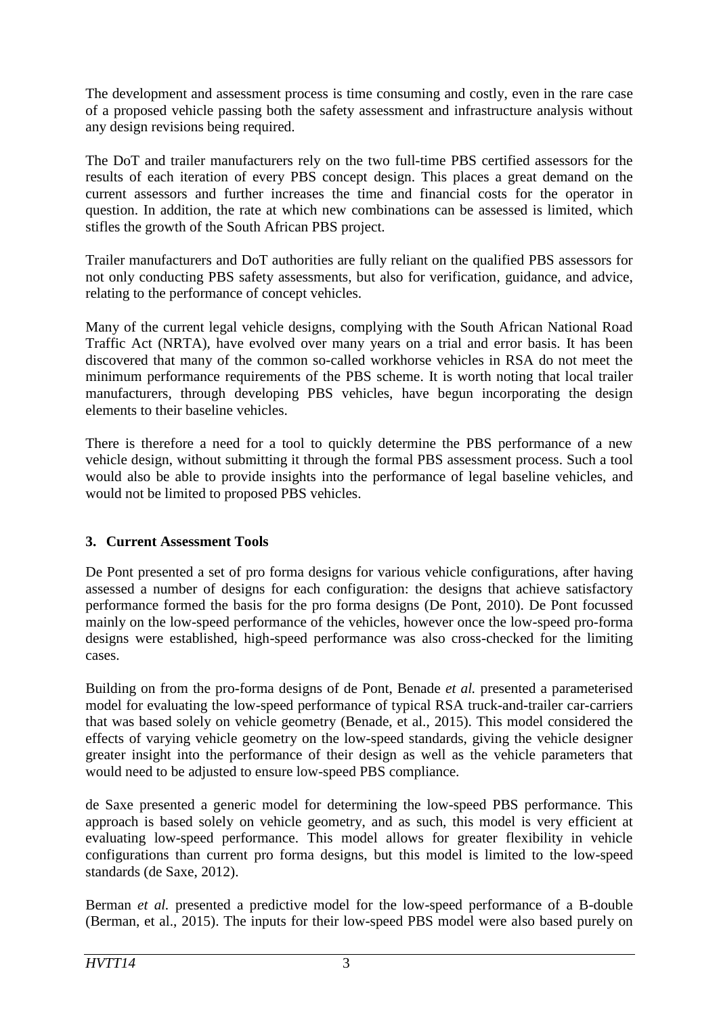The development and assessment process is time consuming and costly, even in the rare case of a proposed vehicle passing both the safety assessment and infrastructure analysis without any design revisions being required.

The DoT and trailer manufacturers rely on the two full-time PBS certified assessors for the results of each iteration of every PBS concept design. This places a great demand on the current assessors and further increases the time and financial costs for the operator in question. In addition, the rate at which new combinations can be assessed is limited, which stifles the growth of the South African PBS project.

Trailer manufacturers and DoT authorities are fully reliant on the qualified PBS assessors for not only conducting PBS safety assessments, but also for verification, guidance, and advice, relating to the performance of concept vehicles.

Many of the current legal vehicle designs, complying with the South African National Road Traffic Act (NRTA), have evolved over many years on a trial and error basis. It has been discovered that many of the common so-called workhorse vehicles in RSA do not meet the minimum performance requirements of the PBS scheme. It is worth noting that local trailer manufacturers, through developing PBS vehicles, have begun incorporating the design elements to their baseline vehicles.

There is therefore a need for a tool to quickly determine the PBS performance of a new vehicle design, without submitting it through the formal PBS assessment process. Such a tool would also be able to provide insights into the performance of legal baseline vehicles, and would not be limited to proposed PBS vehicles.

### **3. Current Assessment Tools**

De Pont presented a set of pro forma designs for various vehicle configurations, after having assessed a number of designs for each configuration: the designs that achieve satisfactory performance formed the basis for the pro forma designs (De Pont, 2010). De Pont focussed mainly on the low-speed performance of the vehicles, however once the low-speed pro-forma designs were established, high-speed performance was also cross-checked for the limiting cases.

Building on from the pro-forma designs of de Pont, Benade *et al.* presented a parameterised model for evaluating the low-speed performance of typical RSA truck-and-trailer car-carriers that was based solely on vehicle geometry (Benade, et al., 2015). This model considered the effects of varying vehicle geometry on the low-speed standards, giving the vehicle designer greater insight into the performance of their design as well as the vehicle parameters that would need to be adjusted to ensure low-speed PBS compliance.

de Saxe presented a generic model for determining the low-speed PBS performance. This approach is based solely on vehicle geometry, and as such, this model is very efficient at evaluating low-speed performance. This model allows for greater flexibility in vehicle configurations than current pro forma designs, but this model is limited to the low-speed standards (de Saxe, 2012).

Berman *et al.* presented a predictive model for the low-speed performance of a B-double (Berman, et al., 2015). The inputs for their low-speed PBS model were also based purely on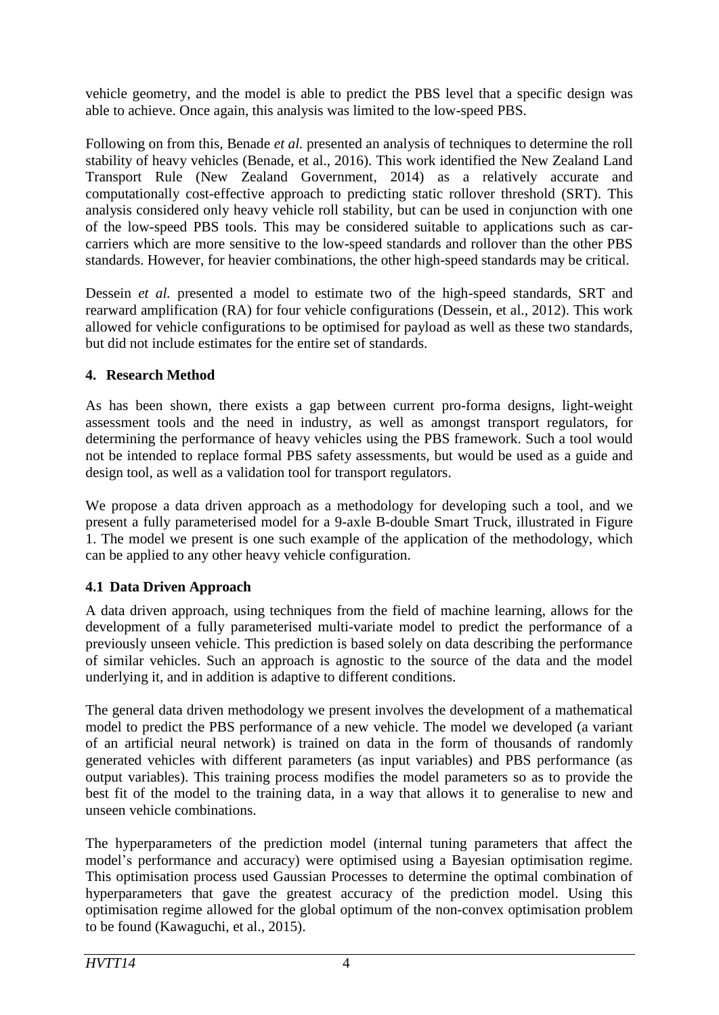vehicle geometry, and the model is able to predict the PBS level that a specific design was able to achieve. Once again, this analysis was limited to the low-speed PBS.

Following on from this, Benade *et al.* presented an analysis of techniques to determine the roll stability of heavy vehicles (Benade, et al., 2016). This work identified the New Zealand Land Transport Rule (New Zealand Government, 2014) as a relatively accurate and computationally cost-effective approach to predicting static rollover threshold (SRT). This analysis considered only heavy vehicle roll stability, but can be used in conjunction with one of the low-speed PBS tools. This may be considered suitable to applications such as carcarriers which are more sensitive to the low-speed standards and rollover than the other PBS standards. However, for heavier combinations, the other high-speed standards may be critical.

Dessein *et al.* presented a model to estimate two of the high-speed standards, SRT and rearward amplification (RA) for four vehicle configurations (Dessein, et al., 2012). This work allowed for vehicle configurations to be optimised for payload as well as these two standards, but did not include estimates for the entire set of standards.

### **4. Research Method**

As has been shown, there exists a gap between current pro-forma designs, light-weight assessment tools and the need in industry, as well as amongst transport regulators, for determining the performance of heavy vehicles using the PBS framework. Such a tool would not be intended to replace formal PBS safety assessments, but would be used as a guide and design tool, as well as a validation tool for transport regulators.

We propose a data driven approach as a methodology for developing such a tool, and we present a fully parameterised model for a 9-axle B-double Smart Truck, illustrated in [Figure](#page-4-0)  [1.](#page-4-0) The model we present is one such example of the application of the methodology, which can be applied to any other heavy vehicle configuration.

# **4.1 Data Driven Approach**

A data driven approach, using techniques from the field of machine learning, allows for the development of a fully parameterised multi-variate model to predict the performance of a previously unseen vehicle. This prediction is based solely on data describing the performance of similar vehicles. Such an approach is agnostic to the source of the data and the model underlying it, and in addition is adaptive to different conditions.

The general data driven methodology we present involves the development of a mathematical model to predict the PBS performance of a new vehicle. The model we developed (a variant of an artificial neural network) is trained on data in the form of thousands of randomly generated vehicles with different parameters (as input variables) and PBS performance (as output variables). This training process modifies the model parameters so as to provide the best fit of the model to the training data, in a way that allows it to generalise to new and unseen vehicle combinations.

The hyperparameters of the prediction model (internal tuning parameters that affect the model's performance and accuracy) were optimised using a Bayesian optimisation regime. This optimisation process used Gaussian Processes to determine the optimal combination of hyperparameters that gave the greatest accuracy of the prediction model. Using this optimisation regime allowed for the global optimum of the non-convex optimisation problem to be found (Kawaguchi, et al., 2015).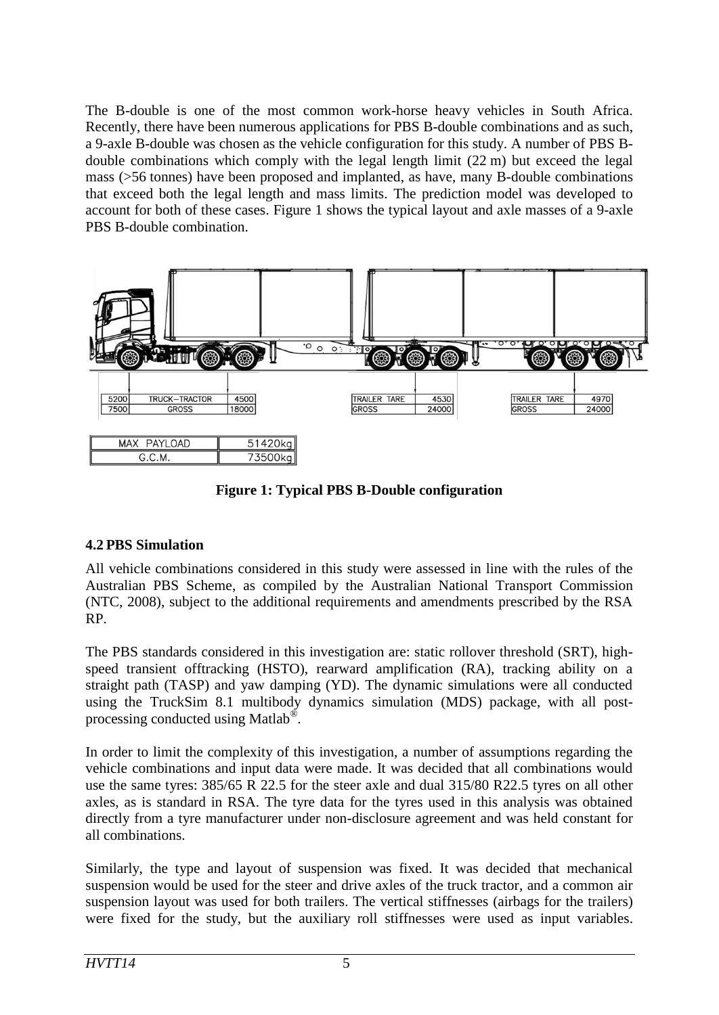The B-double is one of the most common work-horse heavy vehicles in South Africa. Recently, there have been numerous applications for PBS B-double combinations and as such, a 9-axle B-double was chosen as the vehicle configuration for this study. A number of PBS Bdouble combinations which comply with the legal length limit (22 m) but exceed the legal mass (>56 tonnes) have been proposed and implanted, as have, many B-double combinations that exceed both the legal length and mass limits. The prediction model was developed to account for both of these cases. [Figure 1](#page-4-0) shows the typical layout and axle masses of a 9-axle PBS B-double combination.



**Figure 1: Typical PBS B-Double configuration**

# <span id="page-4-0"></span>**4.2 PBS Simulation**

All vehicle combinations considered in this study were assessed in line with the rules of the Australian PBS Scheme, as compiled by the Australian National Transport Commission (NTC, 2008), subject to the additional requirements and amendments prescribed by the RSA RP.

The PBS standards considered in this investigation are: static rollover threshold (SRT), highspeed transient offtracking (HSTO), rearward amplification (RA), tracking ability on a straight path (TASP) and yaw damping (YD). The dynamic simulations were all conducted using the TruckSim 8.1 multibody dynamics simulation (MDS) package, with all postprocessing conducted using Matlab®.

In order to limit the complexity of this investigation, a number of assumptions regarding the vehicle combinations and input data were made. It was decided that all combinations would use the same tyres: 385/65 R 22.5 for the steer axle and dual 315/80 R22.5 tyres on all other axles, as is standard in RSA. The tyre data for the tyres used in this analysis was obtained directly from a tyre manufacturer under non-disclosure agreement and was held constant for all combinations.

Similarly, the type and layout of suspension was fixed. It was decided that mechanical suspension would be used for the steer and drive axles of the truck tractor, and a common air suspension layout was used for both trailers. The vertical stiffnesses (airbags for the trailers) were fixed for the study, but the auxiliary roll stiffnesses were used as input variables.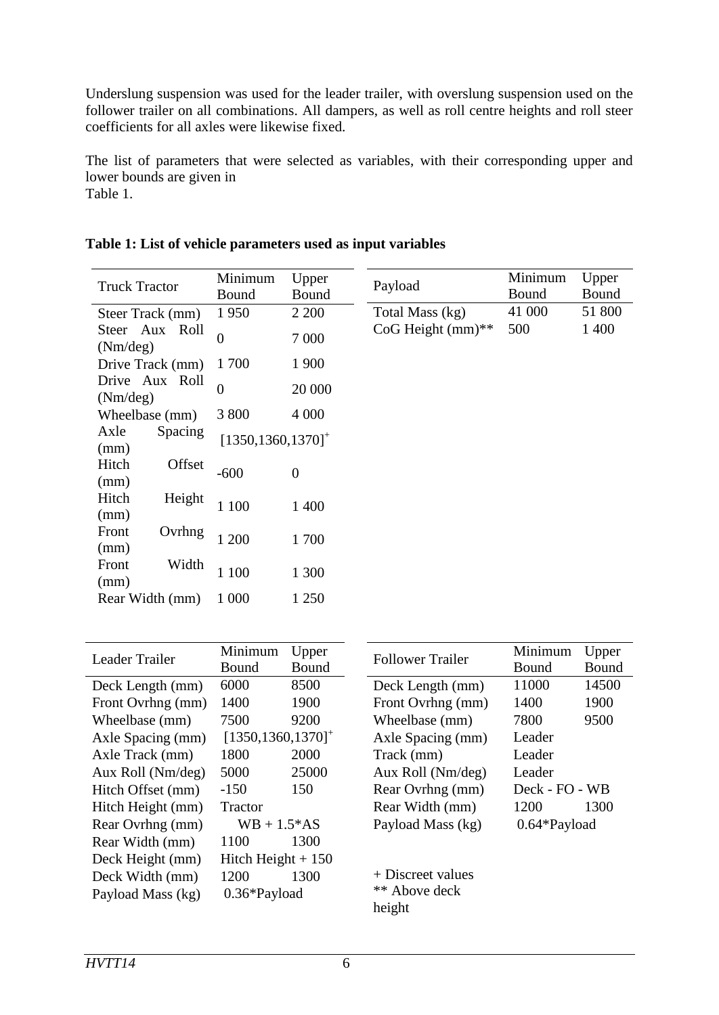Underslung suspension was used for the leader trailer, with overslung suspension used on the follower trailer on all combinations. All dampers, as well as roll centre heights and roll steer coefficients for all axles were likewise fixed.

The list of parameters that were selected as variables, with their corresponding upper and lower bounds are given in [Table 1.](#page-5-0)

Truck Tractor Minimum Bound Upper Bound Steer Track (mm) 1 950 2 200 Steer Aux Roll Steer Aux Roll  $\begin{array}{cc} 0 & 7000 \\ \text{(Nm/deg)} & 0 \end{array}$ Drive Track (mm) 1 700 1 900 Drive Aux Roll Drive Aux Roll  $\begin{array}{cc} 0 & 20000 \\ \text{(Nm/deg)} & 0 & \end{array}$ Wheelbase (mm) 3 800 4 000 Axle Spacing  $(\text{mm})$   $5 \text{pacmg}$   $[1350, 1360, 1370]^+$ Hitch Offset  $(\text{mm})$   $\qquad \qquad 600$  0 Hitch Height (mm) 1 100 1 400 Front Ovrhng (mm) UVIIIIg 1 200 1 700 Front Width (mm)  $1 100$  1 300 Rear Width (mm) 1 000 1 250 Payload Minimum Bound Total Mass (kg) 41 000 51 800  $CoG$  Height (mm)\*\* 500 1 400

<span id="page-5-0"></span>

|  | Table 1: List of vehicle parameters used as input variables |  |
|--|-------------------------------------------------------------|--|
|  |                                                             |  |

| Leader Trailer    | Minimum                           | Upper |  |
|-------------------|-----------------------------------|-------|--|
|                   | Bound                             | Bound |  |
| Deck Length (mm)  | 6000                              | 8500  |  |
| Front Ovrhng (mm) | 1400                              | 1900  |  |
| Wheelbase (mm)    | 7500                              | 9200  |  |
| Axle Spacing (mm) | $[1350, 1360, 1370]$ <sup>+</sup> |       |  |
| Axle Track (mm)   | 1800                              | 2000  |  |
| Aux Roll (Nm/deg) | 5000                              | 25000 |  |
| Hitch Offset (mm) | -150                              | 150   |  |
| Hitch Height (mm) | Tractor                           |       |  |
| Rear Ovrhng (mm)  | $WB + 1.5*AS$                     |       |  |
| Rear Width (mm)   | 1100                              | 1300  |  |
| Deck Height (mm)  | Hitch Height $+150$               |       |  |
| Deck Width (mm)   | 1200                              | 1300  |  |
| Payload Mass (kg) | 0.36*Payload                      |       |  |
|                   |                                   |       |  |

|                   | Minimum<br>Upper |       |  |
|-------------------|------------------|-------|--|
| Follower Trailer  | Bound            | Bound |  |
| Deck Length (mm)  | 11000            | 14500 |  |
| Front Ovrhng (mm) | 1400             | 1900  |  |
| Wheelbase (mm)    | 7800             | 9500  |  |
| Axle Spacing (mm) | Leader           |       |  |
| Track (mm)        | Leader           |       |  |
| Aux Roll (Nm/deg) | Leader           |       |  |
| Rear Ovrhng (mm)  | Deck - FO - WB   |       |  |
| Rear Width (mm)   | 1200             | 1300  |  |
| Payload Mass (kg) | 0.64*Payload     |       |  |
|                   |                  |       |  |

Upper Bound

+ Discreet values \*\* Above deck height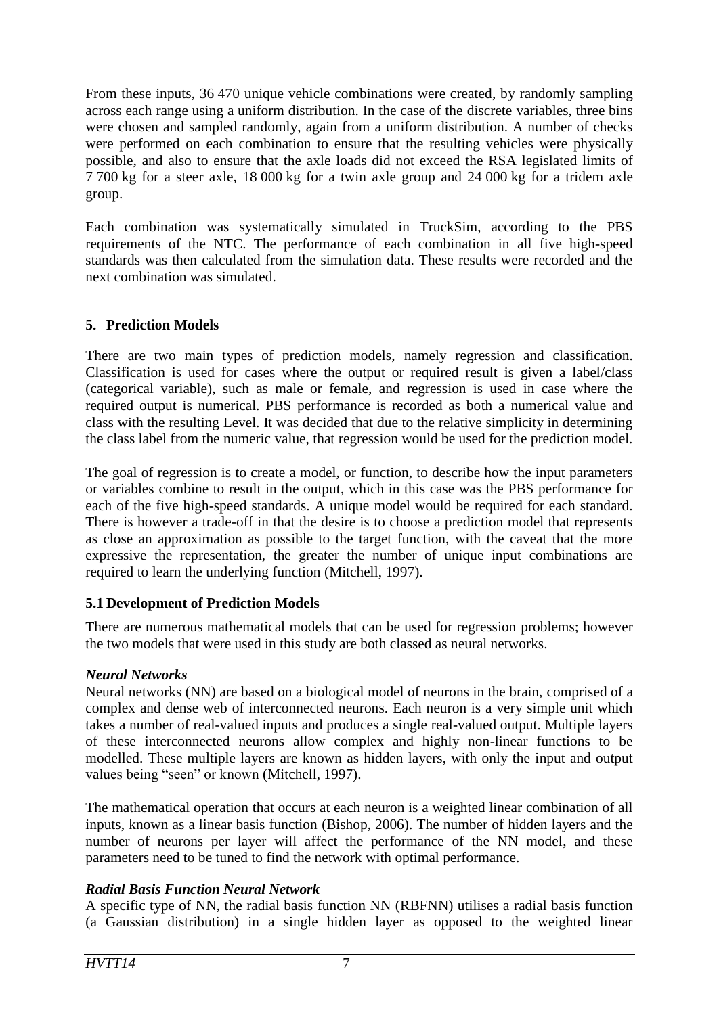From these inputs, 36 470 unique vehicle combinations were created, by randomly sampling across each range using a uniform distribution. In the case of the discrete variables, three bins were chosen and sampled randomly, again from a uniform distribution. A number of checks were performed on each combination to ensure that the resulting vehicles were physically possible, and also to ensure that the axle loads did not exceed the RSA legislated limits of 7 700 kg for a steer axle, 18 000 kg for a twin axle group and 24 000 kg for a tridem axle group.

Each combination was systematically simulated in TruckSim, according to the PBS requirements of the NTC. The performance of each combination in all five high-speed standards was then calculated from the simulation data. These results were recorded and the next combination was simulated.

# **5. Prediction Models**

There are two main types of prediction models, namely regression and classification. Classification is used for cases where the output or required result is given a label/class (categorical variable), such as male or female, and regression is used in case where the required output is numerical. PBS performance is recorded as both a numerical value and class with the resulting Level. It was decided that due to the relative simplicity in determining the class label from the numeric value, that regression would be used for the prediction model.

The goal of regression is to create a model, or function, to describe how the input parameters or variables combine to result in the output, which in this case was the PBS performance for each of the five high-speed standards. A unique model would be required for each standard. There is however a trade-off in that the desire is to choose a prediction model that represents as close an approximation as possible to the target function, with the caveat that the more expressive the representation, the greater the number of unique input combinations are required to learn the underlying function (Mitchell, 1997).

### **5.1 Development of Prediction Models**

There are numerous mathematical models that can be used for regression problems; however the two models that were used in this study are both classed as neural networks.

### *Neural Networks*

Neural networks (NN) are based on a biological model of neurons in the brain, comprised of a complex and dense web of interconnected neurons. Each neuron is a very simple unit which takes a number of real-valued inputs and produces a single real-valued output. Multiple layers of these interconnected neurons allow complex and highly non-linear functions to be modelled. These multiple layers are known as hidden layers, with only the input and output values being "seen" or known (Mitchell, 1997).

The mathematical operation that occurs at each neuron is a weighted linear combination of all inputs, known as a linear basis function (Bishop, 2006). The number of hidden layers and the number of neurons per layer will affect the performance of the NN model, and these parameters need to be tuned to find the network with optimal performance.

# *Radial Basis Function Neural Network*

A specific type of NN, the radial basis function NN (RBFNN) utilises a radial basis function (a Gaussian distribution) in a single hidden layer as opposed to the weighted linear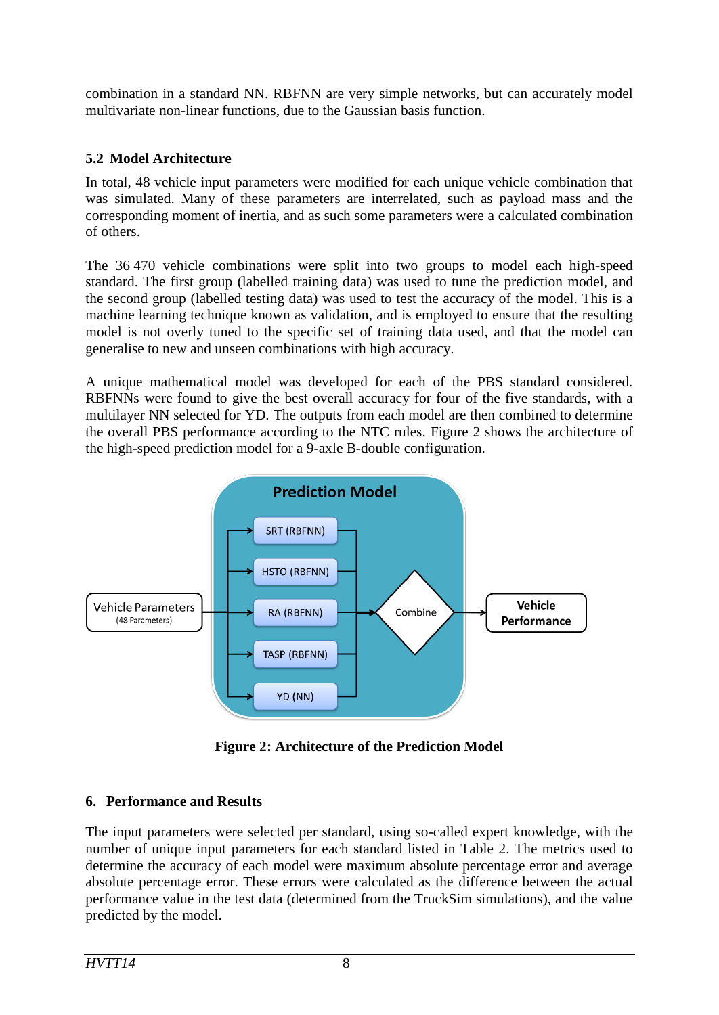combination in a standard NN. RBFNN are very simple networks, but can accurately model multivariate non-linear functions, due to the Gaussian basis function.

### **5.2 Model Architecture**

In total, 48 vehicle input parameters were modified for each unique vehicle combination that was simulated. Many of these parameters are interrelated, such as payload mass and the corresponding moment of inertia, and as such some parameters were a calculated combination of others.

The 36 470 vehicle combinations were split into two groups to model each high-speed standard. The first group (labelled training data) was used to tune the prediction model, and the second group (labelled testing data) was used to test the accuracy of the model. This is a machine learning technique known as validation, and is employed to ensure that the resulting model is not overly tuned to the specific set of training data used, and that the model can generalise to new and unseen combinations with high accuracy.

A unique mathematical model was developed for each of the PBS standard considered. RBFNNs were found to give the best overall accuracy for four of the five standards, with a multilayer NN selected for YD. The outputs from each model are then combined to determine the overall PBS performance according to the NTC rules. [Figure 2](#page-7-0) shows the architecture of the high-speed prediction model for a 9-axle B-double configuration.



**Figure 2: Architecture of the Prediction Model**

# <span id="page-7-0"></span>**6. Performance and Results**

The input parameters were selected per standard, using so-called expert knowledge, with the number of unique input parameters for each standard listed in [Table 2.](#page-8-0) The metrics used to determine the accuracy of each model were maximum absolute percentage error and average absolute percentage error. These errors were calculated as the difference between the actual performance value in the test data (determined from the TruckSim simulations), and the value predicted by the model.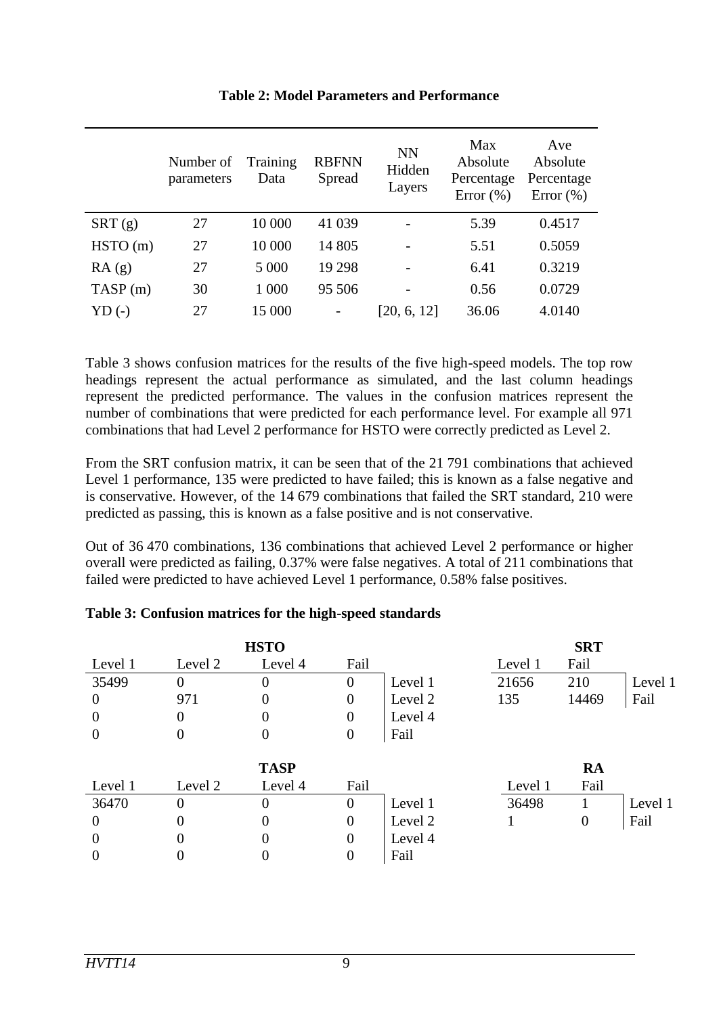<span id="page-8-0"></span>

|         | Number of<br>parameters | Training<br>Data | <b>RBFNN</b><br>Spread | <b>NN</b><br>Hidden<br>Layers | Max<br>Absolute<br>Percentage<br>Error $(\% )$ | Ave<br>Absolute<br>Percentage<br>Error $(\% )$ |
|---------|-------------------------|------------------|------------------------|-------------------------------|------------------------------------------------|------------------------------------------------|
| SRT(g)  | 27                      | 10 000           | 41 039                 |                               | 5.39                                           | 0.4517                                         |
| HSTO(m) | 27                      | 10 000           | 14 805                 |                               | 5.51                                           | 0.5059                                         |
| RA(g)   | 27                      | 5 0 0 0          | 19 29 8                |                               | 6.41                                           | 0.3219                                         |
| TASP(m) | 30                      | 1 000            | 95 506                 |                               | 0.56                                           | 0.0729                                         |
| $YD(-)$ | 27                      | 15 000           |                        | [20, 6, 12]                   | 36.06                                          | 4.0140                                         |

### **Table 2: Model Parameters and Performance**

[Table 3](#page-8-1) shows confusion matrices for the results of the five high-speed models. The top row headings represent the actual performance as simulated, and the last column headings represent the predicted performance. The values in the confusion matrices represent the number of combinations that were predicted for each performance level. For example all 971 combinations that had Level 2 performance for HSTO were correctly predicted as Level 2.

From the SRT confusion matrix, it can be seen that of the 21 791 combinations that achieved Level 1 performance, 135 were predicted to have failed; this is known as a false negative and is conservative. However, of the 14 679 combinations that failed the SRT standard, 210 were predicted as passing, this is known as a false positive and is not conservative.

Out of 36 470 combinations, 136 combinations that achieved Level 2 performance or higher overall were predicted as failing, 0.37% were false negatives. A total of 211 combinations that failed were predicted to have achieved Level 1 performance, 0.58% false positives.

| <b>HSTO</b> |                |             |                  |         |         | <b>SRT</b>     |         |
|-------------|----------------|-------------|------------------|---------|---------|----------------|---------|
| Level 1     | Level 2        | Level 4     | Fail             |         | Level 1 | Fail           |         |
| 35499       | $\theta$       | $\Omega$    | $\overline{0}$   | Level 1 | 21656   | 210            | Level 1 |
| $\Omega$    | 971            | $\theta$    | $\theta$         | Level 2 | 135     | 14469          | Fail    |
| $\Omega$    | 0              | $\theta$    | $\boldsymbol{0}$ | Level 4 |         |                |         |
| $\Omega$    | 0              | $\theta$    | $\boldsymbol{0}$ | Fail    |         |                |         |
|             |                |             |                  |         |         |                |         |
|             |                | <b>TASP</b> |                  |         |         | <b>RA</b>      |         |
| Level 1     | Level 2        | Level 4     | Fail             |         | Level 1 | Fail           |         |
| 36470       | $\overline{0}$ | $\Omega$    | $\overline{0}$   | Level 1 | 36498   |                | Level 1 |
| $\Omega$    | 0              | $\Omega$    | $\Omega$         | Level 2 |         | $\overline{0}$ | Fail    |
| $\Omega$    | 0              | $\Omega$    | $\Omega$         | Level 4 |         |                |         |
|             |                |             | $\overline{0}$   | Fail    |         |                |         |

### <span id="page-8-1"></span>**Table 3: Confusion matrices for the high-speed standards**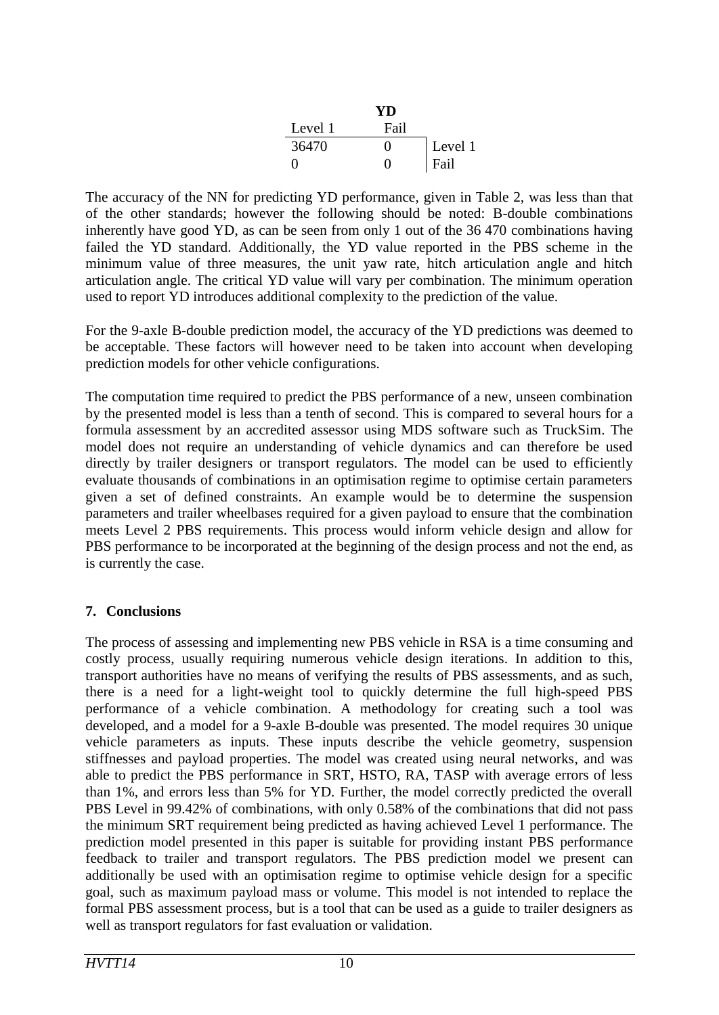|                   | YD                |         |
|-------------------|-------------------|---------|
| Level 1           | Fail              |         |
| 36470             | $\mathbf{\Omega}$ | Level 1 |
| $\mathbf{\Omega}$ | $\mathbf{\Omega}$ | Fail    |

The accuracy of the NN for predicting YD performance, given in [Table 2,](#page-8-0) was less than that of the other standards; however the following should be noted: B-double combinations inherently have good YD, as can be seen from only 1 out of the 36 470 combinations having failed the YD standard. Additionally, the YD value reported in the PBS scheme in the minimum value of three measures, the unit yaw rate, hitch articulation angle and hitch articulation angle. The critical YD value will vary per combination. The minimum operation used to report YD introduces additional complexity to the prediction of the value.

For the 9-axle B-double prediction model, the accuracy of the YD predictions was deemed to be acceptable. These factors will however need to be taken into account when developing prediction models for other vehicle configurations.

The computation time required to predict the PBS performance of a new, unseen combination by the presented model is less than a tenth of second. This is compared to several hours for a formula assessment by an accredited assessor using MDS software such as TruckSim. The model does not require an understanding of vehicle dynamics and can therefore be used directly by trailer designers or transport regulators. The model can be used to efficiently evaluate thousands of combinations in an optimisation regime to optimise certain parameters given a set of defined constraints. An example would be to determine the suspension parameters and trailer wheelbases required for a given payload to ensure that the combination meets Level 2 PBS requirements. This process would inform vehicle design and allow for PBS performance to be incorporated at the beginning of the design process and not the end, as is currently the case.

### **7. Conclusions**

The process of assessing and implementing new PBS vehicle in RSA is a time consuming and costly process, usually requiring numerous vehicle design iterations. In addition to this, transport authorities have no means of verifying the results of PBS assessments, and as such, there is a need for a light-weight tool to quickly determine the full high-speed PBS performance of a vehicle combination. A methodology for creating such a tool was developed, and a model for a 9-axle B-double was presented. The model requires 30 unique vehicle parameters as inputs. These inputs describe the vehicle geometry, suspension stiffnesses and payload properties. The model was created using neural networks, and was able to predict the PBS performance in SRT, HSTO, RA, TASP with average errors of less than 1%, and errors less than 5% for YD. Further, the model correctly predicted the overall PBS Level in 99.42% of combinations, with only 0.58% of the combinations that did not pass the minimum SRT requirement being predicted as having achieved Level 1 performance. The prediction model presented in this paper is suitable for providing instant PBS performance feedback to trailer and transport regulators. The PBS prediction model we present can additionally be used with an optimisation regime to optimise vehicle design for a specific goal, such as maximum payload mass or volume. This model is not intended to replace the formal PBS assessment process, but is a tool that can be used as a guide to trailer designers as well as transport regulators for fast evaluation or validation.